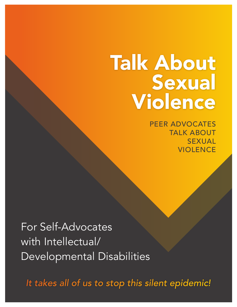### Talk About Sexual Violence

PEER ADVOCATES TALK ABOUT SEXUAL **VIOLENCE** 

For Self-Advocates with Intellectual/ Developmental Disabilities

*It takes all of us to stop this silent epidemic!*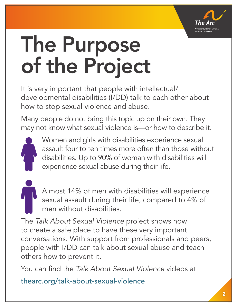

# The Purpose of the Project

It is very important that people with intellectual/ developmental disabilities (I/DD) talk to each other about how to stop sexual violence and abuse.

Many people do not bring this topic up on their own. They may not know what sexual violence is—or how to describe it.



Women and girls with disabilities experience sexual assault four to ten times more often than those without disabilities. Up to 90% of woman with disabilities will experience sexual abuse during their life.

Almost 14% of men with disabilities will experience sexual assault during their life, compared to 4% of men without disabilities.

The *Talk About Sexual Violence* project shows how to create a safe place to have these very important conversations. With support from professionals and peers, people with I/DD can talk about sexual abuse and teach others how to prevent it.

You can find the *Talk About Sexual Violence* videos at

thearc.org/talk-about-sexual-violence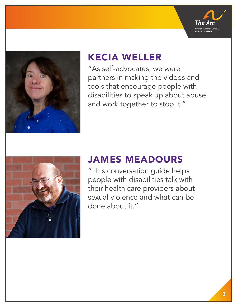



#### KECIA WELLER

"As self-advocates, we were partners in making the videos and tools that encourage people with disabilities to speak up about abuse and work together to stop it."



### JAMES MEADOURS

"This conversation guide helps people with disabilities talk with their health care providers about sexual violence and what can be done about it."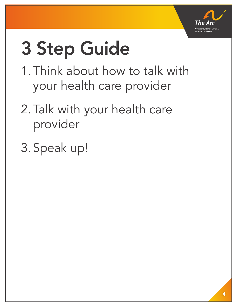

# 3 Step Guide

- 1. Think about how to talk with your health care provider
- 2. Talk with your health care provider
- 3. Speak up!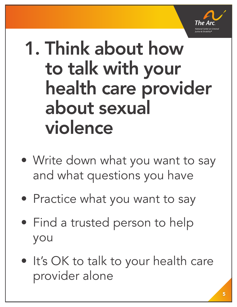

### 1. Think about how to talk with your health care provider about sexual violence

- Write down what you want to say and what questions you have
- Practice what you want to say
- Find a trusted person to help you
- It's OK to talk to your health care provider alone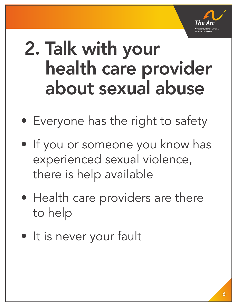

### 2. Talk with your health care provider about sexual abuse

- Everyone has the right to safety
- If you or someone you know has experienced sexual violence, there is help available
- Health care providers are there to help
- It is never your fault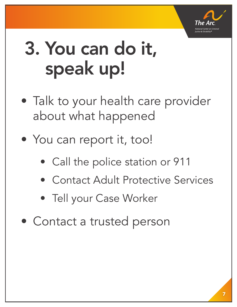

## 3. You can do it, speak up!

- Talk to your health care provider about what happened
- You can report it, too!
	- Call the police station or 911
	- Contact Adult Protective Services
	- Tell your Case Worker
- Contact a trusted person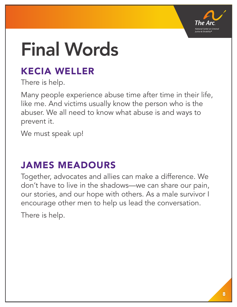

## Final Words

### KECIA WELLER

There is help.

Many people experience abuse time after time in their life, like me. And victims usually know the person who is the abuser. We all need to know what abuse is and ways to prevent it.

We must speak up!

### JAMES MEADOURS

Together, advocates and allies can make a difference. We don't have to live in the shadows—we can share our pain, our stories, and our hope with others. As a male survivor I encourage other men to help us lead the conversation.

There is help.